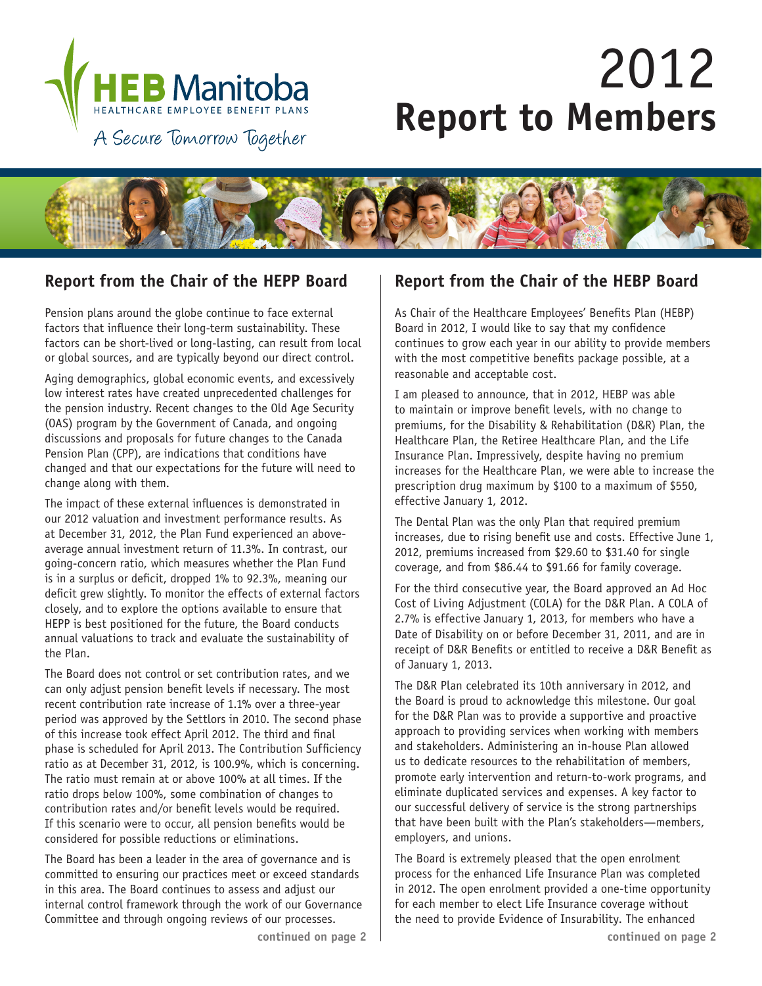

# 2012 **Report to Members**



## **Report from the Chair of the HEPP Board Report from the Chair of the HEBP Board**

Pension plans around the globe continue to face external factors that influence their long-term sustainability. These factors can be short-lived or long-lasting, can result from local or global sources, and are typically beyond our direct control.

Aging demographics, global economic events, and excessively low interest rates have created unprecedented challenges for the pension industry. Recent changes to the Old Age Security (OAS) program by the Government of Canada, and ongoing discussions and proposals for future changes to the Canada Pension Plan (CPP), are indications that conditions have changed and that our expectations for the future will need to change along with them.

The impact of these external influences is demonstrated in our 2012 valuation and investment performance results. As at December 31, 2012, the Plan Fund experienced an aboveaverage annual investment return of 11.3%. In contrast, our going-concern ratio, which measures whether the Plan Fund is in a surplus or deficit, dropped 1% to 92.3%, meaning our deficit grew slightly. To monitor the effects of external factors closely, and to explore the options available to ensure that HEPP is best positioned for the future, the Board conducts annual valuations to track and evaluate the sustainability of the Plan.

The Board does not control or set contribution rates, and we can only adjust pension benefit levels if necessary. The most recent contribution rate increase of 1.1% over a three-year period was approved by the Settlors in 2010. The second phase of this increase took effect April 2012. The third and final phase is scheduled for April 2013. The Contribution Sufficiency ratio as at December 31, 2012, is 100.9%, which is concerning. The ratio must remain at or above 100% at all times. If the ratio drops below 100%, some combination of changes to contribution rates and/or benefit levels would be required. If this scenario were to occur, all pension benefits would be considered for possible reductions or eliminations.

The Board has been a leader in the area of governance and is committed to ensuring our practices meet or exceed standards in this area. The Board continues to assess and adjust our internal control framework through the work of our Governance Committee and through ongoing reviews of our processes.

As Chair of the Healthcare Employees' Benefits Plan (HEBP) Board in 2012, I would like to say that my confidence continues to grow each year in our ability to provide members with the most competitive benefits package possible, at a reasonable and acceptable cost.

I am pleased to announce, that in 2012, HEBP was able to maintain or improve benefit levels, with no change to premiums, for the Disability & Rehabilitation (D&R) Plan, the Healthcare Plan, the Retiree Healthcare Plan, and the Life Insurance Plan. Impressively, despite having no premium increases for the Healthcare Plan, we were able to increase the prescription drug maximum by \$100 to a maximum of \$550, effective January 1, 2012.

The Dental Plan was the only Plan that required premium increases, due to rising benefit use and costs. Effective June 1, 2012, premiums increased from \$29.60 to \$31.40 for single coverage, and from \$86.44 to \$91.66 for family coverage.

For the third consecutive year, the Board approved an Ad Hoc Cost of Living Adjustment (COLA) for the D&R Plan. A COLA of 2.7% is effective January 1, 2013, for members who have a Date of Disability on or before December 31, 2011, and are in receipt of D&R Benefits or entitled to receive a D&R Benefit as of January 1, 2013.

The D&R Plan celebrated its 10th anniversary in 2012, and the Board is proud to acknowledge this milestone. Our goal for the D&R Plan was to provide a supportive and proactive approach to providing services when working with members and stakeholders. Administering an in-house Plan allowed us to dedicate resources to the rehabilitation of members, promote early intervention and return-to-work programs, and eliminate duplicated services and expenses. A key factor to our successful delivery of service is the strong partnerships that have been built with the Plan's stakeholders—members, employers, and unions.

The Board is extremely pleased that the open enrolment process for the enhanced Life Insurance Plan was completed in 2012. The open enrolment provided a one-time opportunity for each member to elect Life Insurance coverage without the need to provide Evidence of Insurability. The enhanced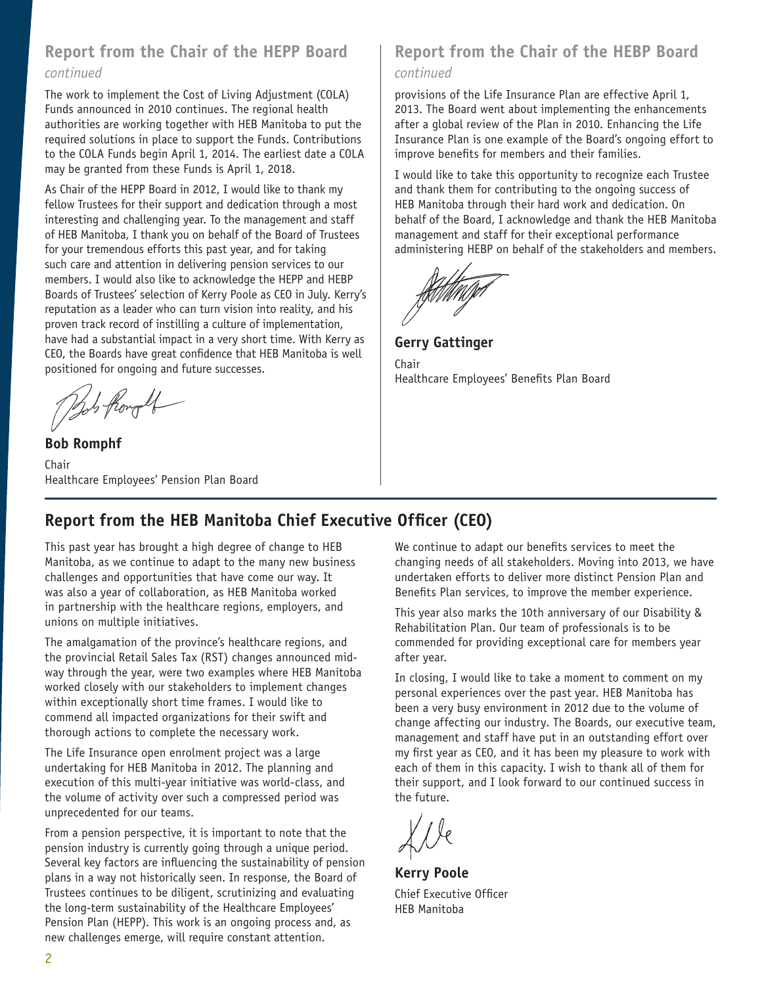# **Report from the Chair of the HEPP Board**

### *continued*

The work to implement the Cost of Living Adjustment (COLA) Funds announced in 2010 continues. The regional health authorities are working together with HEB Manitoba to put the required solutions in place to support the Funds. Contributions to the COLA Funds begin April 1, 2014. The earliest date a COLA may be granted from these Funds is April 1, 2018.

As Chair of the HEPP Board in 2012, I would like to thank my fellow Trustees for their support and dedication through a most interesting and challenging year. To the management and staff of HEB Manitoba, I thank you on behalf of the Board of Trustees for your tremendous efforts this past year, and for taking such care and attention in delivering pension services to our members. I would also like to acknowledge the HEPP and HEBP Boards of Trustees' selection of Kerry Poole as CEO in July. Kerry's reputation as a leader who can turn vision into reality, and his proven track record of instilling a culture of implementation, have had a substantial impact in a very short time. With Kerry as CEO, the Boards have great confidence that HEB Manitoba is well positioned for ongoing and future successes.

Bob flory

**Bob Romphf** Chair Healthcare Employees' Pension Plan Board

# **Report from the Chair of the HEBP Board**

## *continued*

provisions of the Life Insurance Plan are effective April 1, 2013. The Board went about implementing the enhancements after a global review of the Plan in 2010. Enhancing the Life Insurance Plan is one example of the Board's ongoing effort to improve benefits for members and their families.

I would like to take this opportunity to recognize each Trustee and thank them for contributing to the ongoing success of HEB Manitoba through their hard work and dedication. On behalf of the Board, I acknowledge and thank the HEB Manitoba management and staff for their exceptional performance administering HEBP on behalf of the stakeholders and members.

**Gerry Gattinger** Chair Healthcare Employees' Benefits Plan Board

# **Report from the HEB Manitoba Chief Executive Officer (CEO)**

This past year has brought a high degree of change to HEB Manitoba, as we continue to adapt to the many new business challenges and opportunities that have come our way. It was also a year of collaboration, as HEB Manitoba worked in partnership with the healthcare regions, employers, and unions on multiple initiatives.

The amalgamation of the province's healthcare regions, and the provincial Retail Sales Tax (RST) changes announced midway through the year, were two examples where HEB Manitoba worked closely with our stakeholders to implement changes within exceptionally short time frames. I would like to commend all impacted organizations for their swift and thorough actions to complete the necessary work.

The Life Insurance open enrolment project was a large undertaking for HEB Manitoba in 2012. The planning and execution of this multi-year initiative was world-class, and the volume of activity over such a compressed period was unprecedented for our teams.

From a pension perspective, it is important to note that the pension industry is currently going through a unique period. Several key factors are influencing the sustainability of pension plans in a way not historically seen. In response, the Board of Trustees continues to be diligent, scrutinizing and evaluating the long-term sustainability of the Healthcare Employees' Pension Plan (HEPP). This work is an ongoing process and, as new challenges emerge, will require constant attention.

We continue to adapt our benefits services to meet the changing needs of all stakeholders. Moving into 2013, we have undertaken efforts to deliver more distinct Pension Plan and Benefits Plan services, to improve the member experience.

This year also marks the 10th anniversary of our Disability & Rehabilitation Plan. Our team of professionals is to be commended for providing exceptional care for members year after year.

In closing, I would like to take a moment to comment on my personal experiences over the past year. HEB Manitoba has been a very busy environment in 2012 due to the volume of change affecting our industry. The Boards, our executive team, management and staff have put in an outstanding effort over my first year as CEO, and it has been my pleasure to work with each of them in this capacity. I wish to thank all of them for their support, and I look forward to our continued success in the future.

**Kerry Poole** Chief Executive Officer HEB Manitoba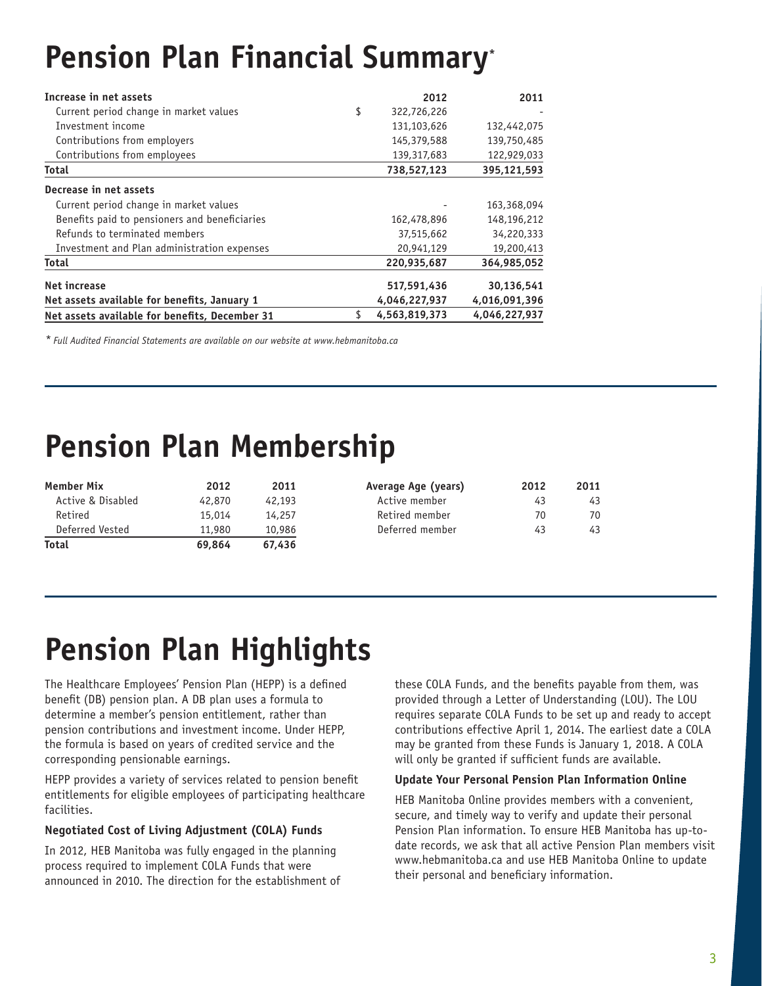# **Pension Plan Financial Summary\***

| Increase in net assets                         | 2012              | 2011          |
|------------------------------------------------|-------------------|---------------|
| Current period change in market values         | \$<br>322,726,226 |               |
| Investment income                              | 131,103,626       | 132,442,075   |
| Contributions from employers                   | 145,379,588       | 139,750,485   |
| Contributions from employees                   | 139, 317, 683     | 122,929,033   |
| <b>Total</b>                                   | 738,527,123       | 395,121,593   |
| Decrease in net assets                         |                   |               |
| Current period change in market values         |                   | 163,368,094   |
| Benefits paid to pensioners and beneficiaries  | 162,478,896       | 148,196,212   |
| Refunds to terminated members                  | 37,515,662        | 34,220,333    |
| Investment and Plan administration expenses    | 20,941,129        | 19,200,413    |
| Total                                          | 220,935,687       | 364,985,052   |
| <b>Net increase</b>                            | 517,591,436       | 30,136,541    |
| Net assets available for benefits, January 1   | 4,046,227,937     | 4,016,091,396 |
| Net assets available for benefits, December 31 | 4,563,819,373     | 4.046.227.937 |

*\* Full Audited Financial Statements are available on our website at www.hebmanitoba.ca*

# **Pension Plan Membership**

| Member Mix        | 2012   | 2011   | Average Age (years) | 2012 | 2011 |
|-------------------|--------|--------|---------------------|------|------|
| Active & Disabled | 42,870 | 42,193 | Active member       | 43   | 43   |
| Retired           | 15,014 | 14.257 | Retired member      | 70   | 70   |
| Deferred Vested   | 11,980 | 10,986 | Deferred member     | 43   | 43   |
| Total             | 69.864 | 67.436 |                     |      |      |

# **Pension Plan Highlights**

The Healthcare Employees' Pension Plan (HEPP) is a defined benefit (DB) pension plan. A DB plan uses a formula to determine a member's pension entitlement, rather than pension contributions and investment income. Under HEPP, the formula is based on years of credited service and the corresponding pensionable earnings.

HEPP provides a variety of services related to pension benefit entitlements for eligible employees of participating healthcare facilities.

#### **Negotiated Cost of Living Adjustment (COLA) Funds**

In 2012, HEB Manitoba was fully engaged in the planning process required to implement COLA Funds that were announced in 2010. The direction for the establishment of these COLA Funds, and the benefits payable from them, was provided through a Letter of Understanding (LOU). The LOU requires separate COLA Funds to be set up and ready to accept contributions effective April 1, 2014. The earliest date a COLA may be granted from these Funds is January 1, 2018. A COLA will only be granted if sufficient funds are available.

#### **Update Your Personal Pension Plan Information Online**

HEB Manitoba Online provides members with a convenient, secure, and timely way to verify and update their personal Pension Plan information. To ensure HEB Manitoba has up-todate records, we ask that all active Pension Plan members visit www.hebmanitoba.ca and use HEB Manitoba Online to update their personal and beneficiary information.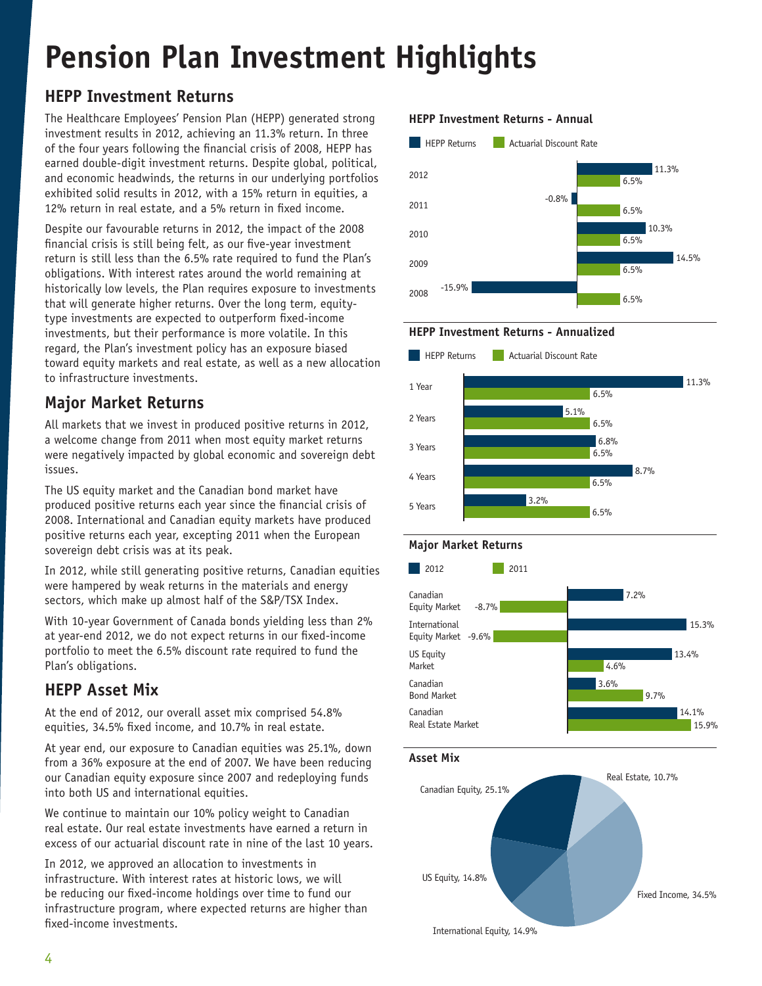# **Pension Plan Investment Highlights**

# **HEPP Investment Returns**

The Healthcare Employees' Pension Plan (HEPP) generated strong investment results in 2012, achieving an 11.3% return. In three of the four years following the financial crisis of 2008, HEPP has earned double-digit investment returns. Despite global, political, and economic headwinds, the returns in our underlying portfolios exhibited solid results in 2012, with a 15% return in equities, a 12% return in real estate, and a 5% return in fixed income.

Despite our favourable returns in 2012, the impact of the 2008 financial crisis is still being felt, as our five-year investment return is still less than the 6.5% rate required to fund the Plan's obligations. With interest rates around the world remaining at historically low levels, the Plan requires exposure to investments that will generate higher returns. Over the long term, equitytype investments are expected to outperform fixed-income investments, but their performance is more volatile. In this regard, the Plan's investment policy has an exposure biased toward equity markets and real estate, as well as a new allocation to infrastructure investments.

# **Major Market Returns**

All markets that we invest in produced positive returns in 2012, a welcome change from 2011 when most equity market returns were negatively impacted by global economic and sovereign debt issues.

The US equity market and the Canadian bond market have produced positive returns each year since the financial crisis of 2008. International and Canadian equity markets have produced positive returns each year, excepting 2011 when the European sovereign debt crisis was at its peak.

In 2012, while still generating positive returns, Canadian equities were hampered by weak returns in the materials and energy sectors, which make up almost half of the S&P/TSX Index.

With 10-year Government of Canada bonds yielding less than 2% at year-end 2012, we do not expect returns in our fixed-income portfolio to meet the 6.5% discount rate required to fund the Plan's obligations.

# **HEPP Asset Mix**

At the end of 2012, our overall asset mix comprised 54.8% equities, 34.5% fixed income, and 10.7% in real estate.

At year end, our exposure to Canadian equities was 25.1%, down from a 36% exposure at the end of 2007. We have been reducing our Canadian equity exposure since 2007 and redeploying funds into both US and international equities.

We continue to maintain our 10% policy weight to Canadian real estate. Our real estate investments have earned a return in excess of our actuarial discount rate in nine of the last 10 years.

In 2012, we approved an allocation to investments in infrastructure. With interest rates at historic lows, we will be reducing our fixed-income holdings over time to fund our infrastructure program, where expected returns are higher than fixed-income investments.

### **HEPP Investment Returns - Annual**



**HEPP Investment Returns - Annualized**



### **Major Market Returns**



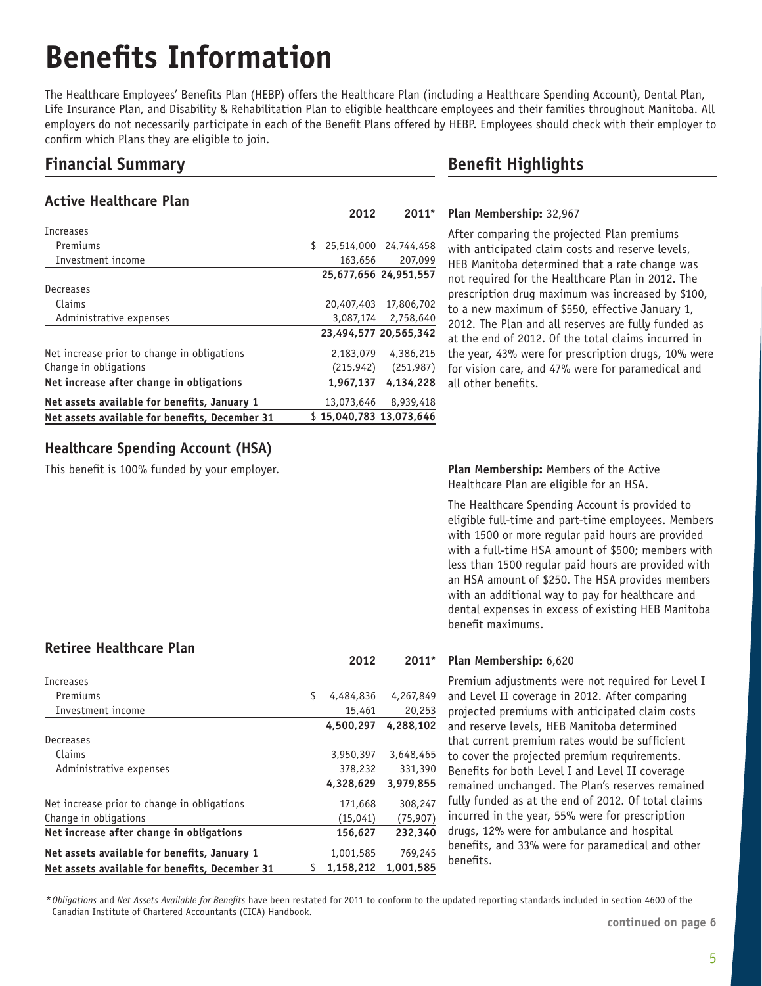# **Benefits Information**

The Healthcare Employees' Benefits Plan (HEBP) offers the Healthcare Plan (including a Healthcare Spending Account), Dental Plan, Life Insurance Plan, and Disability & Rehabilitation Plan to eligible healthcare employees and their families throughout Manitoba. All employers do not necessarily participate in each of the Benefit Plans offered by HEBP. Employees should check with their employer to confirm which Plans they are eligible to join.

## **Financial Summary**

### **Active Healthcare Plan**

|                                                |     | 2012       | $2011*$                 |
|------------------------------------------------|-----|------------|-------------------------|
| Increases                                      |     |            |                         |
| Premiums                                       | \$. |            | 25,514,000 24,744,458   |
| Investment income                              |     | 163,656    | 207,099                 |
|                                                |     |            | 25,677,656 24,951,557   |
| Decreases                                      |     |            |                         |
| Claims                                         |     | 20,407,403 | 17,806,702              |
| Administrative expenses                        |     |            | 3,087,174 2,758,640     |
|                                                |     |            | 23,494,577 20,565,342   |
| Net increase prior to change in obligations    |     | 2,183,079  | 4,386,215               |
| Change in obligations                          |     | (215, 942) | (251, 987)              |
| Net increase after change in obligations       |     | 1.967.137  | 4.134.228               |
| Net assets available for benefits, January 1   |     | 13,073,646 | 8,939,418               |
| Net assets available for benefits, December 31 |     |            | \$15,040,783 13,073,646 |

# **Benefit Highlights**

#### **Plan Membership:** 32,967

After comparing the projected Plan premiums with anticipated claim costs and reserve levels, HEB Manitoba determined that a rate change was not required for the Healthcare Plan in 2012. The prescription drug maximum was increased by \$100, to a new maximum of \$550, effective January 1, 2012. The Plan and all reserves are fully funded as at the end of 2012. Of the total claims incurred in the year, 43% were for prescription drugs, 10% were for vision care, and 47% were for paramedical and all other benefits.

### **Healthcare Spending Account (HSA)**

This benefit is 100% funded by your employer.

### **Retiree Healthcare Plan**

| <b>Increases</b>                               |    |           |           |
|------------------------------------------------|----|-----------|-----------|
| Premiums                                       | \$ | 4,484,836 | 4,267,849 |
| Investment income                              |    | 15,461    | 20,253    |
|                                                |    | 4,500,297 | 4,288,102 |
| Decreases                                      |    |           |           |
| Claims                                         |    | 3,950,397 | 3,648,465 |
| Administrative expenses                        |    | 378,232   | 331,390   |
|                                                |    | 4,328,629 | 3,979,855 |
| Net increase prior to change in obligations    |    | 171,668   | 308,247   |
| Change in obligations                          |    | (15, 041) | (75, 907) |
| Net increase after change in obligations       |    | 156,627   | 232,340   |
| Net assets available for benefits, January 1   |    | 1,001,585 | 769,245   |
| Net assets available for benefits, December 31 | S  | 1.158.212 | 1.001.585 |

**Plan Membership:** Members of the Active Healthcare Plan are eligible for an HSA.

The Healthcare Spending Account is provided to eligible full-time and part-time employees. Members with 1500 or more regular paid hours are provided with a full-time HSA amount of \$500; members with less than 1500 regular paid hours are provided with an HSA amount of \$250. The HSA provides members with an additional way to pay for healthcare and dental expenses in excess of existing HEB Manitoba benefit maximums.

#### **Plan Membership:** 6,620 **2012 2011\***

Premium adjustments were not required for Level I and Level II coverage in 2012. After comparing projected premiums with anticipated claim costs and reserve levels, HEB Manitoba determined that current premium rates would be sufficient to cover the projected premium requirements. Benefits for both Level I and Level II coverage remained unchanged. The Plan's reserves remained fully funded as at the end of 2012. Of total claims incurred in the year, 55% were for prescription drugs, 12% were for ambulance and hospital benefits, and 33% were for paramedical and other benefits.

*\* Obligations* and *Net Assets Available for Benefits* have been restated for 2011 to conform to the updated reporting standards included in section 4600 of the Canadian Institute of Chartered Accountants (CICA) Handbook.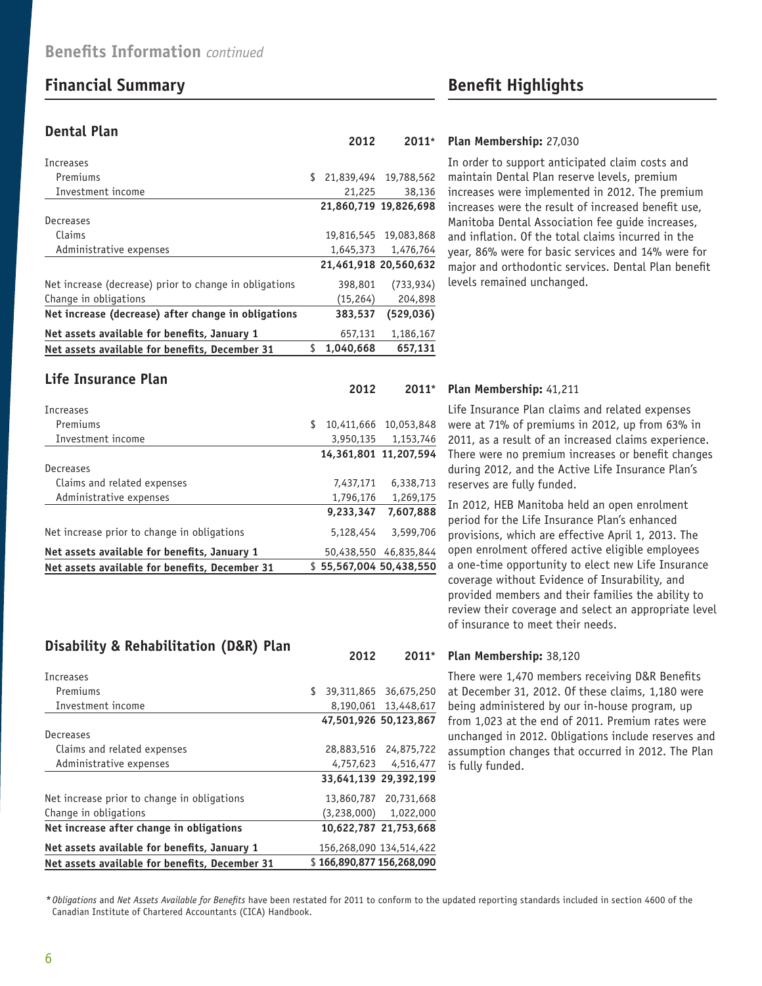# **Financial Summary Benefit Highlights**

### **Dental Plan**

| Increases                                              |                             |                       |
|--------------------------------------------------------|-----------------------------|-----------------------|
| Premiums                                               | \$<br>21,839,494 19,788,562 |                       |
| Investment income                                      | 21,225                      | 38,136                |
|                                                        |                             | 21,860,719 19,826,698 |
| Decreases                                              |                             |                       |
| Claims                                                 |                             | 19.816.545 19.083.868 |
| Administrative expenses                                | 1,645,373                   | 1,476,764             |
|                                                        |                             | 21,461,918 20,560,632 |
| Net increase (decrease) prior to change in obligations | 398,801                     | (733, 934)            |
| Change in obligations                                  | (15, 264)                   | 204,898               |
| Net increase (decrease) after change in obligations    | 383,537                     | (529, 036)            |
| Net assets available for benefits, January 1           | 657,131                     | 1.186.167             |
| Net assets available for benefits, December 31         | \$<br>1.040.668             | 657.131               |

| Life Insurance Plan                            |   |                         |            |
|------------------------------------------------|---|-------------------------|------------|
|                                                |   | 2012                    | $2011*$    |
| Increases                                      |   |                         |            |
| Premiums                                       | S | 10,411,666              | 10,053,848 |
| Investment income                              |   | 3,950,135               | 1,153,746  |
|                                                |   | 14.361.801 11.207.594   |            |
| Decreases                                      |   |                         |            |
| Claims and related expenses                    |   | 7,437,171               | 6,338,713  |
| Administrative expenses                        |   | 1,796,176               | 1,269,175  |
|                                                |   | 9,233,347               | 7,607,888  |
| Net increase prior to change in obligations    |   | 5,128,454               | 3,599,706  |
| Net assets available for benefits, January 1   |   | 50,438,550              | 46,835,844 |
| Net assets available for benefits, December 31 |   | \$55,567,004 50,438,550 |            |

## **Disability & Rehabilitation (D&R) Plan**

| Net assets available for benefits, December 31 |    | \$166,890,877 156,268,090 |
|------------------------------------------------|----|---------------------------|
| Net assets available for benefits, January 1   |    | 156,268,090 134,514,422   |
| Net increase after change in obligations       |    | 10.622.787 21.753.668     |
| Change in obligations                          |    | $(3,238,000)$ $1,022,000$ |
| Net increase prior to change in obligations    |    | 13,860,787 20,731,668     |
|                                                |    | 33,641,139 29,392,199     |
| Administrative expenses                        |    | 4,757,623 4,516,477       |
| Claims and related expenses                    |    | 28,883,516 24,875,722     |
| Decreases                                      |    |                           |
|                                                |    | 47,501,926 50,123,867     |
| Investment income                              |    | 8,190,061 13,448,617      |
| Premiums                                       | \$ | 39,311,865 36,675,250     |
| Increases                                      |    |                           |
|                                                |    |                           |

#### **Plan Membership:** 27,030 **2012 2011\***

In order to support anticipated claim costs and maintain Dental Plan reserve levels, premium increases were implemented in 2012. The premium increases were the result of increased benefit use, Manitoba Dental Association fee guide increases, and inflation. Of the total claims incurred in the year, 86% were for basic services and 14% were for major and orthodontic services. Dental Plan benefit levels remained unchanged.

#### **Plan Membership:** 41,211

Life Insurance Plan claims and related expenses were at 71% of premiums in 2012, up from 63% in 2011, as a result of an increased claims experience. There were no premium increases or benefit changes during 2012, and the Active Life Insurance Plan's reserves are fully funded.

In 2012, HEB Manitoba held an open enrolment period for the Life Insurance Plan's enhanced provisions, which are effective April 1, 2013. The open enrolment offered active eligible employees a one-time opportunity to elect new Life Insurance coverage without Evidence of Insurability, and provided members and their families the ability to review their coverage and select an appropriate level of insurance to meet their needs.

#### **Plan Membership:** 38,120 **2012 2011\***

There were 1,470 members receiving D&R Benefits at December 31, 2012. Of these claims, 1,180 were being administered by our in-house program, up from 1,023 at the end of 2011. Premium rates were unchanged in 2012. Obligations include reserves and assumption changes that occurred in 2012. The Plan is fully funded.

*\* Obligations* and *Net Assets Available for Benefits* have been restated for 2011 to conform to the updated reporting standards included in section 4600 of the Canadian Institute of Chartered Accountants (CICA) Handbook.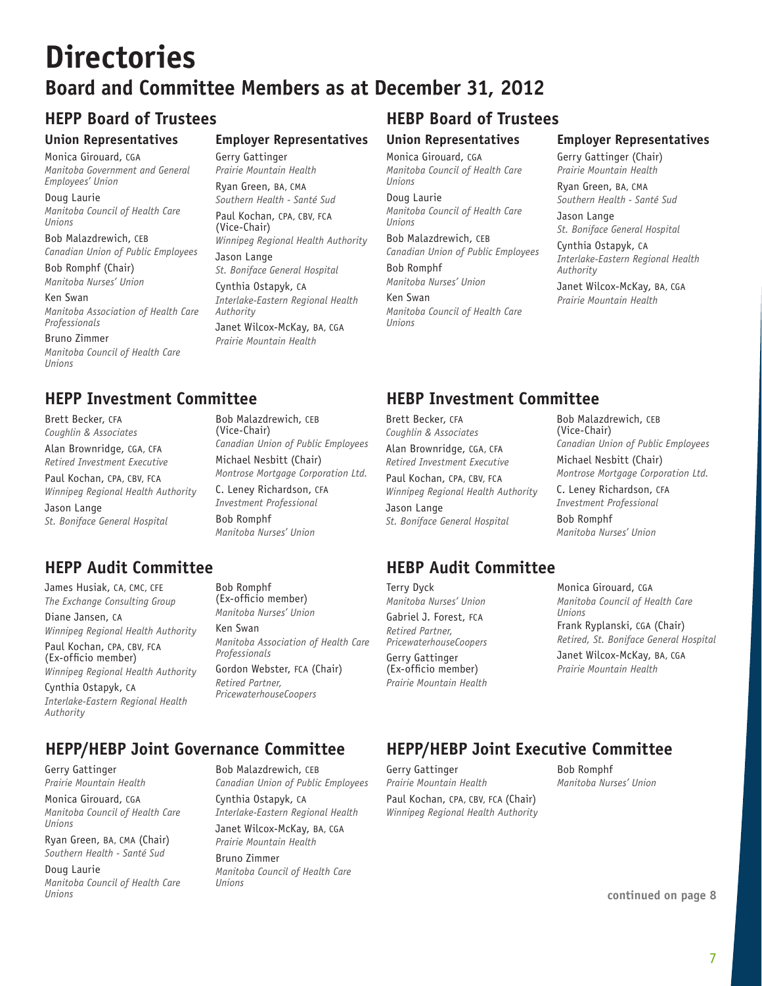# **Directories Board and Committee Members as at December 31, 2012**

**Employer Representatives**

*Winnipeg Regional Health Authority*

*St. Boniface General Hospital* Cynthia Ostapyk, CA

*Interlake-Eastern Regional Health* 

Janet Wilcox-McKay, BA, CGA *Prairie Mountain Health*

Bob Malazdrewich, CEB

Michael Nesbitt (Chair)

*Canadian Union of Public Employees*

*Montrose Mortgage Corporation Ltd.* C. Leney Richardson, CFA *Investment Professional* 

(Vice-Chair)

Bob Romphf

Gerry Gattinger *Prairie Mountain Health* Ryan Green, BA, CMA *Southern Health - Santé Sud* Paul Kochan, CPA, CBV, FCA

(Vice-Chair)

Jason Lange

*Authority*

#### **Union Representatives**

Monica Girouard, CGA *Manitoba Government and General Employees' Union*

Doug Laurie *Manitoba Council of Health Care Unions*

Bob Malazdrewich, CEB *Canadian Union of Public Employees*

Bob Romphf (Chair) *Manitoba Nurses' Union*

Ken Swan *Manitoba Association of Health Care Professionals*

Bruno Zimmer *Manitoba Council of Health Care Unions*

# **HEPP Investment Committee HEBP Investment Committee**

Brett Becker, CFA *Coughlin & Associates* Alan Brownridge, CGA, CFA *Retired Investment Executive*

Paul Kochan, CPA, CBV, FCA *Winnipeg Regional Health Authority* Jason Lange *St. Boniface General Hospital*

# **HEPP Audit Committee HEBP Audit Committee**

James Husiak, CA, CMC, CFE *The Exchange Consulting Group*

Diane Jansen, CA *Winnipeg Regional Health Authority*

Paul Kochan, CPA, CBV, FCA (Ex-officio member) *Winnipeg Regional Health Authority*

Cynthia Ostapyk, CA *Interlake-Eastern Regional Health Authority*

Bob Romphf (Ex-officio member) *Manitoba Nurses' Union*

*Manitoba Nurses' Union*

Ken Swan *Manitoba Association of Health Care Professionals*

Gordon Webster, FCA (Chair) *Retired Partner, PricewaterhouseCoopers*

# **HEPP/HEBP Joint Governance Committee HEPP/HEBP Joint Executive Committee**

Gerry Gattinger *Prairie Mountain Health*

Monica Girouard, CGA *Manitoba Council of Health Care Unions*

Ryan Green, BA, CMA (Chair) *Southern Health - Santé Sud*

Doug Laurie *Manitoba Council of Health Care Unions*

Bob Malazdrewich, CEB *Canadian Union of Public Employees* Cynthia Ostapyk, CA *Interlake-Eastern Regional Health* Janet Wilcox-McKay, BA, CGA

*Prairie Mountain Health* Bruno Zimmer *Manitoba Council of Health Care Unions*

# **HEPP Board of Trustees HEBP Board of Trustees**

### **Union Representatives**

Monica Girouard, CGA *Manitoba Council of Health Care Unions*

Doug Laurie *Manitoba Council of Health Care Unions*

Bob Malazdrewich, CEB *Canadian Union of Public Employees* Bob Romphf *Manitoba Nurses' Union*

Ken Swan *Manitoba Council of Health Care Unions*

## **Employer Representatives**

Gerry Gattinger (Chair) *Prairie Mountain Health*

Ryan Green, BA, CMA *Southern Health - Santé Sud*

Jason Lange *St. Boniface General Hospital*

Cynthia Ostapyk, CA *Interlake-Eastern Regional Health Authority*

Janet Wilcox-McKay, BA, CGA *Prairie Mountain Health*

Brett Becker, CFA *Coughlin & Associates* Alan Brownridge, CGA, CFA *Retired Investment Executive* Paul Kochan, CPA, CBV, FCA *Winnipeg Regional Health Authority* Jason Lange *St. Boniface General Hospital*

Terry Dyck *Manitoba Nurses' Union* Gabriel J. Forest, FCA *Retired Partner, PricewaterhouseCoopers*

Gerry Gattinger (Ex-officio member) *Prairie Mountain Health* Bob Malazdrewich, CEB (Vice-Chair) *Canadian Union of Public Employees* Michael Nesbitt (Chair) *Montrose Mortgage Corporation Ltd.* C. Leney Richardson, CFA *Investment Professional* 

Bob Romphf *Manitoba Nurses' Union*

Monica Girouard, CGA *Manitoba Council of Health Care Unions*

Frank Ryplanski, CGA (Chair) *Retired, St. Boniface General Hospital* Janet Wilcox-McKay, BA, CGA *Prairie Mountain Health*

Gerry Gattinger *Prairie Mountain Health* Paul Kochan, CPA, CBV, FCA (Chair) *Winnipeg Regional Health Authority*

Bob Romphf *Manitoba Nurses' Union*

**continued on page 8**